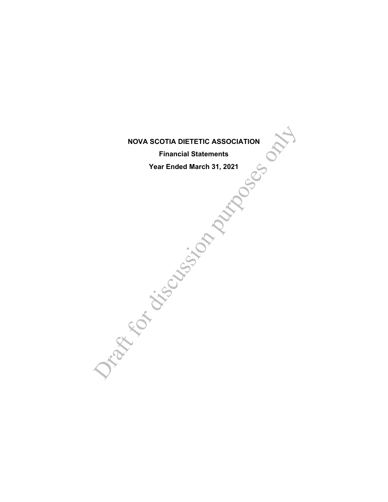#### **NOVA SCOTIA DIETETIC ASSOCIATION**

**Financial Statements**

**Year Ended March 31, 2021**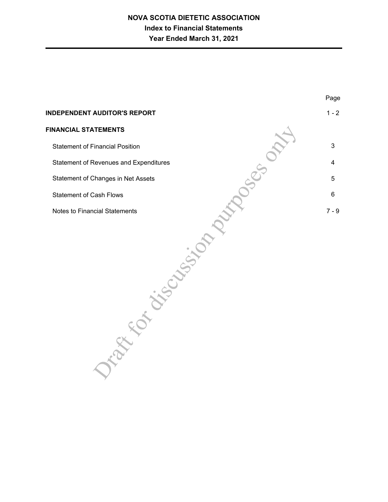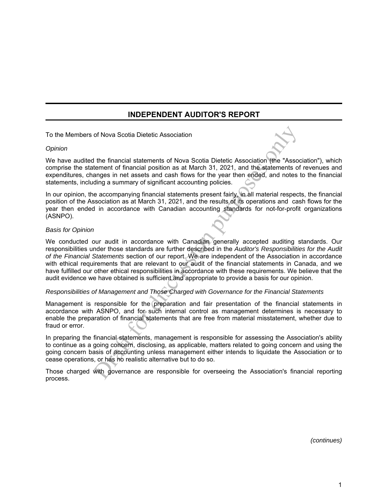# **INDEPENDENT AUDITOR'S REPORT**

To the Members of Nova Scotia Dietetic Association

#### *Opinion*

We have audited the financial statements of Nova Scotia Dietetic Association (the "Association"), which comprise the statement of financial position as at March 31, 2021, and the statements of revenues and expenditures, changes in net assets and cash flows for the year then ended, and notes to the financial statements, including a summary of significant accounting policies.

In our opinion, the accompanying financial statements present fairly, in all material respects, the financial position of the Association as at March 31, 2021, and the results of its operations and cash flows for the year then ended in accordance with Canadian accounting standards for not-for-profit organizations (ASNPO).

#### *Basis for Opinion*

We conducted our audit in accordance with Canadian generally accepted auditing standards. Our responsibilities under those standards are further described in the *Auditor's Responsibilities for the Audit of the Financial Statements* section of our report. We are independent of the Association in accordance with ethical requirements that are relevant to our audit of the financial statements in Canada, and we have fulfilled our other ethical responsibilities in accordance with these requirements. We believe that the audit evidence we have obtained is sufficient and appropriate to provide a basis for our opinion.

#### *Responsibilities of Management and Those Charged with Governance for the Financial Statements*

Management is responsible for the preparation and fair presentation of the financial statements in accordance with ASNPO, and for such internal control as management determines is necessary to enable the preparation of financial statements that are free from material misstatement, whether due to fraud or error.

In preparing the financial statements, management is responsible for assessing the Association's ability to continue as a going concern, disclosing, as applicable, matters related to going concern and using the going concern basis of accounting unless management either intends to liquidate the Association or to cease operations, or has no realistic alternative but to do so.

Those charged with governance are responsible for overseeing the Association's financial reporting process.

*(continues)*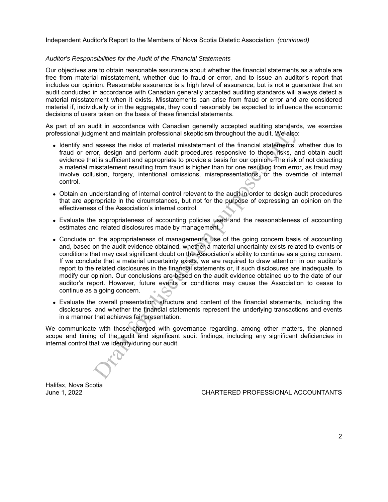Independent Auditor's Report to the Members of Nova Scotia Dietetic Association *(continued)*

#### *Auditor's Responsibilities for the Audit of the Financial Statements*

Our objectives are to obtain reasonable assurance about whether the financial statements as a whole are free from material misstatement, whether due to fraud or error, and to issue an auditor's report that includes our opinion. Reasonable assurance is a high level of assurance, but is not a guarantee that an audit conducted in accordance with Canadian generally accepted auditing standards will always detect a material misstatement when it exists. Misstatements can arise from fraud or error and are considered material if, individually or in the aggregate, they could reasonably be expected to influence the economic decisions of users taken on the basis of these financial statements.

As part of an audit in accordance with Canadian generally accepted auditing standards, we exercise professional judgment and maintain professional skepticism throughout the audit. We also:

- Identify and assess the risks of material misstatement of the financial statements, whether due to fraud or error, design and perform audit procedures responsive to those risks, and obtain audit evidence that is sufficient and appropriate to provide a basis for our opinion. The risk of not detecting a material misstatement resulting from fraud is higher than for one resulting from error, as fraud may involve collusion, forgery, intentional omissions, misrepresentations, or the override of internal control.
- Obtain an understanding of internal control relevant to the audit in order to design audit procedures that are appropriate in the circumstances, but not for the purpose of expressing an opinion on the effectiveness of the Association's internal control.
- Evaluate the appropriateness of accounting policies used and the reasonableness of accounting estimates and related disclosures made by management.
- Conclude on the appropriateness of management's use of the going concern basis of accounting and, based on the audit evidence obtained, whether a material uncertainty exists related to events or conditions that may cast significant doubt on the Association's ability to continue as a going concern. If we conclude that a material uncertainty exists, we are required to draw attention in our auditor's report to the related disclosures in the financial statements or, if such disclosures are inadequate, to modify our opinion. Our conclusions are based on the audit evidence obtained up to the date of our auditor's report. However, future events or conditions may cause the Association to cease to continue as a going concern.
- Evaluate the overall presentation, structure and content of the financial statements, including the disclosures, and whether the financial statements represent the underlying transactions and events in a manner that achieves fair presentation.

We communicate with those charged with governance regarding, among other matters, the planned scope and timing of the audit and significant audit findings, including any significant deficiencies in internal control that we identify during our audit.

Halifax, Nova Scotia

June 1, 2022 CHARTERED PROFESSIONAL ACCOUNTANTS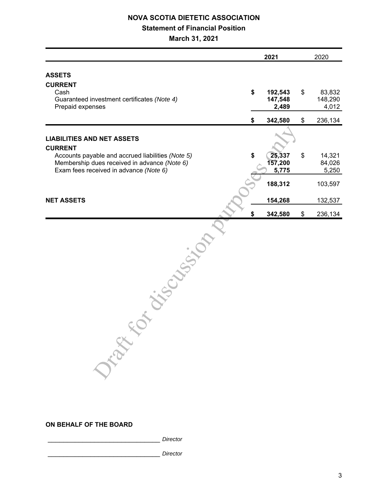# **NOVA SCOTIA DIETETIC ASSOCIATION**

# **Statement of Financial Position**

**March 31, 2021**

|                                                                                                                                                                                                    | 2021                             | 2020                            |
|----------------------------------------------------------------------------------------------------------------------------------------------------------------------------------------------------|----------------------------------|---------------------------------|
| <b>ASSETS</b><br><b>CURRENT</b><br>Cash<br>Guaranteed investment certificates (Note 4)<br>Prepaid expenses                                                                                         | \$<br>192,543<br>147,548         | \$<br>83,832<br>148,290         |
|                                                                                                                                                                                                    | \$<br>2,489<br>342,580           | \$<br>4,012<br>236,134          |
| <b>LIABILITIES AND NET ASSETS</b><br><b>CURRENT</b><br>Accounts payable and accrued liabilities (Note 5)<br>Membership dues received in advance (Note 6)<br>Exam fees received in advance (Note 6) | \$<br>25,337<br>157,200<br>5,775 | \$<br>14,321<br>84,026<br>5,250 |
|                                                                                                                                                                                                    | 188,312                          | 103,597                         |
| <b>NET ASSETS</b>                                                                                                                                                                                  | 154,268                          | 132,537                         |
|                                                                                                                                                                                                    | \$<br>342,580                    | \$<br>236,134                   |
| ram Cr. discussion                                                                                                                                                                                 |                                  |                                 |

## **ON BEHALF OF THE BOARD**

\_\_\_\_\_\_\_\_\_\_\_\_\_\_\_\_\_\_\_\_\_\_\_\_\_\_\_\_\_ *Director* 

\_\_\_\_\_\_\_\_\_\_\_\_\_\_\_\_\_\_\_\_\_\_\_\_\_\_\_\_\_ *Director*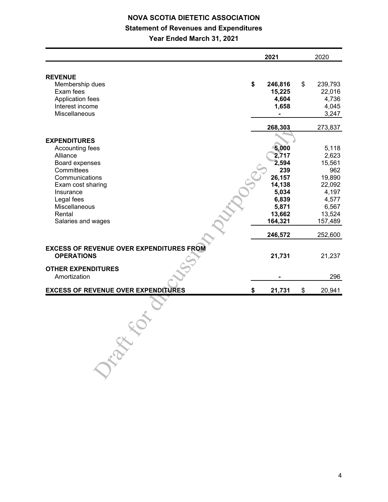# **NOVA SCOTIA DIETETIC ASSOCIATION Statement of Revenues and Expenditures**

**Year Ended March 31, 2021**

| <b>REVENUE</b><br>\$<br>\$<br>239,793<br>Membership dues<br>246,816<br>Exam fees<br>15,225<br>22,016<br>Application fees<br>4,604<br>4,736<br>Interest income<br>4,045<br>1,658<br>Miscellaneous<br>3,247<br>273,837<br>268,303<br><b>EXPENDITURES</b><br>$-5,000$<br>Accounting fees<br>5,118<br>2,717<br>Alliance<br>2,623<br>2,594<br>15,561<br>Board expenses<br>Committees<br>239<br>962<br>26,157<br>Communications<br>19,890<br>14,138<br>22,092<br>Exam cost sharing<br>4,197<br>5,034<br>Insurance<br>6,839<br>4,577<br>Legal fees<br>Miscellaneous<br>5,871<br>6,567<br>13,662<br>13,524<br>Rental<br>157,489<br>164,321<br>Salaries and wages<br>246,572<br>252,600<br><b>EXCESS OF REVENUE OVER EXPENDITURES FROM</b><br><b>OPERATIONS</b><br>21,731<br>21,237<br>Amortization<br>296<br><b>EXCESS OF REVENUE OVER EXPENDITURES</b><br>21,731<br>\$<br>\$<br>20,941 |                           | 2021 | 2020 |
|---------------------------------------------------------------------------------------------------------------------------------------------------------------------------------------------------------------------------------------------------------------------------------------------------------------------------------------------------------------------------------------------------------------------------------------------------------------------------------------------------------------------------------------------------------------------------------------------------------------------------------------------------------------------------------------------------------------------------------------------------------------------------------------------------------------------------------------------------------------------------------|---------------------------|------|------|
|                                                                                                                                                                                                                                                                                                                                                                                                                                                                                                                                                                                                                                                                                                                                                                                                                                                                                 |                           |      |      |
|                                                                                                                                                                                                                                                                                                                                                                                                                                                                                                                                                                                                                                                                                                                                                                                                                                                                                 |                           |      |      |
|                                                                                                                                                                                                                                                                                                                                                                                                                                                                                                                                                                                                                                                                                                                                                                                                                                                                                 |                           |      |      |
|                                                                                                                                                                                                                                                                                                                                                                                                                                                                                                                                                                                                                                                                                                                                                                                                                                                                                 |                           |      |      |
|                                                                                                                                                                                                                                                                                                                                                                                                                                                                                                                                                                                                                                                                                                                                                                                                                                                                                 |                           |      |      |
|                                                                                                                                                                                                                                                                                                                                                                                                                                                                                                                                                                                                                                                                                                                                                                                                                                                                                 |                           |      |      |
|                                                                                                                                                                                                                                                                                                                                                                                                                                                                                                                                                                                                                                                                                                                                                                                                                                                                                 |                           |      |      |
|                                                                                                                                                                                                                                                                                                                                                                                                                                                                                                                                                                                                                                                                                                                                                                                                                                                                                 |                           |      |      |
|                                                                                                                                                                                                                                                                                                                                                                                                                                                                                                                                                                                                                                                                                                                                                                                                                                                                                 |                           |      |      |
|                                                                                                                                                                                                                                                                                                                                                                                                                                                                                                                                                                                                                                                                                                                                                                                                                                                                                 |                           |      |      |
|                                                                                                                                                                                                                                                                                                                                                                                                                                                                                                                                                                                                                                                                                                                                                                                                                                                                                 |                           |      |      |
|                                                                                                                                                                                                                                                                                                                                                                                                                                                                                                                                                                                                                                                                                                                                                                                                                                                                                 |                           |      |      |
|                                                                                                                                                                                                                                                                                                                                                                                                                                                                                                                                                                                                                                                                                                                                                                                                                                                                                 |                           |      |      |
|                                                                                                                                                                                                                                                                                                                                                                                                                                                                                                                                                                                                                                                                                                                                                                                                                                                                                 |                           |      |      |
|                                                                                                                                                                                                                                                                                                                                                                                                                                                                                                                                                                                                                                                                                                                                                                                                                                                                                 |                           |      |      |
|                                                                                                                                                                                                                                                                                                                                                                                                                                                                                                                                                                                                                                                                                                                                                                                                                                                                                 |                           |      |      |
|                                                                                                                                                                                                                                                                                                                                                                                                                                                                                                                                                                                                                                                                                                                                                                                                                                                                                 |                           |      |      |
|                                                                                                                                                                                                                                                                                                                                                                                                                                                                                                                                                                                                                                                                                                                                                                                                                                                                                 |                           |      |      |
|                                                                                                                                                                                                                                                                                                                                                                                                                                                                                                                                                                                                                                                                                                                                                                                                                                                                                 |                           |      |      |
|                                                                                                                                                                                                                                                                                                                                                                                                                                                                                                                                                                                                                                                                                                                                                                                                                                                                                 |                           |      |      |
|                                                                                                                                                                                                                                                                                                                                                                                                                                                                                                                                                                                                                                                                                                                                                                                                                                                                                 |                           |      |      |
|                                                                                                                                                                                                                                                                                                                                                                                                                                                                                                                                                                                                                                                                                                                                                                                                                                                                                 |                           |      |      |
|                                                                                                                                                                                                                                                                                                                                                                                                                                                                                                                                                                                                                                                                                                                                                                                                                                                                                 |                           |      |      |
|                                                                                                                                                                                                                                                                                                                                                                                                                                                                                                                                                                                                                                                                                                                                                                                                                                                                                 |                           |      |      |
|                                                                                                                                                                                                                                                                                                                                                                                                                                                                                                                                                                                                                                                                                                                                                                                                                                                                                 | <b>OTHER EXPENDITURES</b> |      |      |
|                                                                                                                                                                                                                                                                                                                                                                                                                                                                                                                                                                                                                                                                                                                                                                                                                                                                                 |                           |      |      |
|                                                                                                                                                                                                                                                                                                                                                                                                                                                                                                                                                                                                                                                                                                                                                                                                                                                                                 |                           |      |      |
|                                                                                                                                                                                                                                                                                                                                                                                                                                                                                                                                                                                                                                                                                                                                                                                                                                                                                 |                           |      |      |
|                                                                                                                                                                                                                                                                                                                                                                                                                                                                                                                                                                                                                                                                                                                                                                                                                                                                                 |                           |      |      |
|                                                                                                                                                                                                                                                                                                                                                                                                                                                                                                                                                                                                                                                                                                                                                                                                                                                                                 |                           |      |      |
|                                                                                                                                                                                                                                                                                                                                                                                                                                                                                                                                                                                                                                                                                                                                                                                                                                                                                 |                           |      |      |
|                                                                                                                                                                                                                                                                                                                                                                                                                                                                                                                                                                                                                                                                                                                                                                                                                                                                                 |                           |      |      |
|                                                                                                                                                                                                                                                                                                                                                                                                                                                                                                                                                                                                                                                                                                                                                                                                                                                                                 |                           |      |      |
|                                                                                                                                                                                                                                                                                                                                                                                                                                                                                                                                                                                                                                                                                                                                                                                                                                                                                 |                           |      |      |
|                                                                                                                                                                                                                                                                                                                                                                                                                                                                                                                                                                                                                                                                                                                                                                                                                                                                                 |                           |      |      |
|                                                                                                                                                                                                                                                                                                                                                                                                                                                                                                                                                                                                                                                                                                                                                                                                                                                                                 |                           |      |      |
|                                                                                                                                                                                                                                                                                                                                                                                                                                                                                                                                                                                                                                                                                                                                                                                                                                                                                 |                           |      |      |
|                                                                                                                                                                                                                                                                                                                                                                                                                                                                                                                                                                                                                                                                                                                                                                                                                                                                                 |                           |      |      |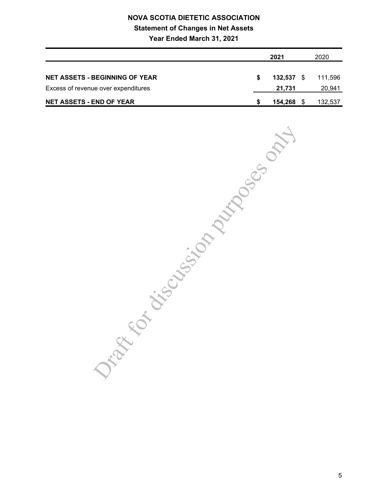# **NOVA SCOTIA DIETETIC ASSOCIATION Statement of Changes in Net Assets**

# **Year Ended March 31, 2021**

|                                       |   | 2021         | 2020    |
|---------------------------------------|---|--------------|---------|
| <b>NET ASSETS - BEGINNING OF YEAR</b> | S | $132,537$ \$ | 111.596 |
| Excess of revenue over expenditures   |   | 21,731       | 20,941  |
| <b>NET ASSETS - END OF YEAR</b>       |   | 154,268      | 132,537 |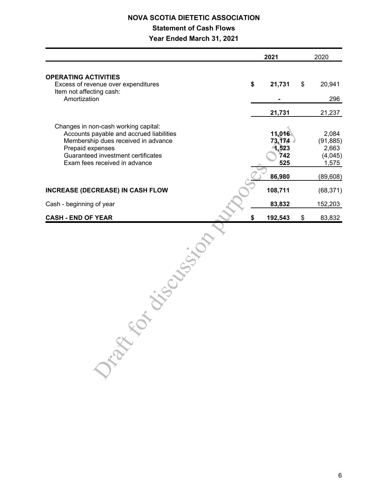# **NOVA SCOTIA DIETETIC ASSOCIATION Statement of Cash Flows Year Ended March 31, 2021**

|                                                                                                                                                                                                                    | 2021                                              |    | 2020                                                        |
|--------------------------------------------------------------------------------------------------------------------------------------------------------------------------------------------------------------------|---------------------------------------------------|----|-------------------------------------------------------------|
| <b>OPERATING ACTIVITIES</b><br>Excess of revenue over expenditures<br>Item not affecting cash:<br>Amortization                                                                                                     | \$<br>21,731                                      | \$ | 20,941<br>296                                               |
|                                                                                                                                                                                                                    | 21,731                                            |    | 21,237                                                      |
| Changes in non-cash working capital:<br>Accounts payable and accrued liabilities<br>Membership dues received in advance<br>Prepaid expenses<br>Guaranteed investment certificates<br>Exam fees received in advance | 11,016<br>73,174<br>1,523<br>742<br>525<br>86,980 |    | 2,084<br>(91, 885)<br>2,663<br>(4,045)<br>1,575<br>(89,608) |
| <b>INCREASE (DECREASE) IN CASH FLOW</b>                                                                                                                                                                            | 108,711                                           |    | (68, 371)                                                   |
| Cash - beginning of year                                                                                                                                                                                           | 83,832                                            |    | 152,203                                                     |
| <b>CASH - END OF YEAR</b>                                                                                                                                                                                          | 192,543                                           | S  | 83,832                                                      |

**CASH CASH OF BOOM**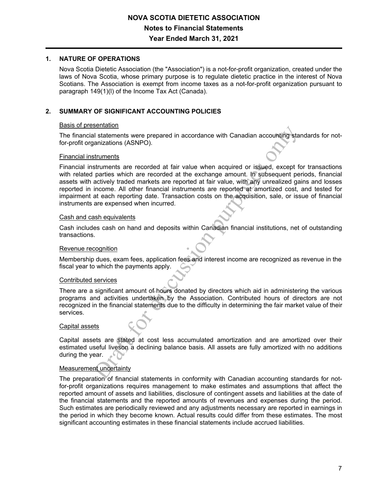### **1. NATURE OF OPERATIONS**

Nova Scotia Dietetic Association (the "Association") is a not-for-profit organization, created under the laws of Nova Scotia, whose primary purpose is to regulate dietetic practice in the interest of Nova Scotians. The Association is exempt from income taxes as a not-for-profit organization pursuant to paragraph 149(1)(l) of the Income Tax Act (Canada).

## **2. SUMMARY OF SIGNIFICANT ACCOUNTING POLICIES**

#### Basis of presentation

The financial statements were prepared in accordance with Canadian accounting standards for notfor-profit organizations (ASNPO).

#### Financial instruments

Financial instruments are recorded at fair value when acquired or issued, except for transactions with related parties which are recorded at the exchange amount. In subsequent periods, financial assets with actively traded markets are reported at fair value, with any unrealized gains and losses reported in income. All other financial instruments are reported at amortized cost, and tested for impairment at each reporting date. Transaction costs on the acquisition, sale, or issue of financial instruments are expensed when incurred.

#### Cash and cash equivalents

Cash includes cash on hand and deposits within Canadian financial institutions, net of outstanding transactions.

#### Revenue recognition

Membership dues, exam fees, application fees and interest income are recognized as revenue in the fiscal year to which the payments apply.

#### Contributed services

There are a significant amount of hours donated by directors which aid in administering the various programs and activities undertaken by the Association. Contributed hours of directors are not recognized in the financial statements due to the difficulty in determining the fair market value of their services.

#### Capital assets

Capital assets are stated at cost less accumulated amortization and are amortized over their estimated useful liveson a declining balance basis. All assets are fully amortized with no additions during the year.

## Measurement uncertainty

The preparation of financial statements in conformity with Canadian accounting standards for notfor-profit organizations requires management to make estimates and assumptions that affect the reported amount of assets and liabilities, disclosure of contingent assets and liabilities at the date of the financial statements and the reported amounts of revenues and expenses during the period. Such estimates are periodically reviewed and any adjustments necessary are reported in earnings in the period in which they become known. Actual results could differ from these estimates. The most significant accounting estimates in these financial statements include accrued liabilities.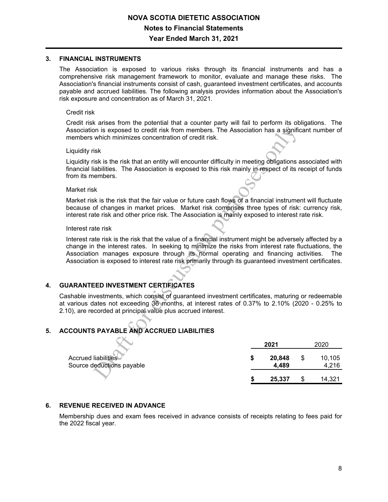#### **3. FINANCIAL INSTRUMENTS**

The Association is exposed to various risks through its financial instruments and has a comprehensive risk management framework to monitor, evaluate and manage these risks. The Association's financial instruments consist of cash, guaranteed investment certificates, and accounts payable and accrued liabilities. The following analysis provides information about the Association's risk exposure and concentration as of March 31, 2021.

Credit risk

Credit risk arises from the potential that a counter party will fail to perform its obligations. The Association is exposed to credit risk from members. The Association has a significant number of members which minimizes concentration of credit risk.

#### Liquidity risk

Liquidity risk is the risk that an entity will encounter difficulty in meeting obligations associated with financial liabilities. The Association is exposed to this risk mainly in respect of its receipt of funds from its members.

#### Market risk

Market risk is the risk that the fair value or future cash flows of a financial instrument will fluctuate because of changes in market prices. Market risk comprises three types of risk: currency risk, interest rate risk and other price risk. The Association is mainly exposed to interest rate risk.

#### Interest rate risk

Interest rate risk is the risk that the value of a financial instrument might be adversely affected by a change in the interest rates. In seeking to minimize the risks from interest rate fluctuations, the Association manages exposure through its normal operating and financing activities. The Association is exposed to interest rate risk primarily through its guaranteed investment certificates.

## **4. GUARANTEED INVESTMENT CERTIFICATES**

Cashable investments, which consist of guaranteed investment certificates, maturing or redeemable at various dates not exceeding 36 months, at interest rates of 0.37% to 2.10% (2020 - 0.25% to 2.10), are recorded at principal value plus accrued interest.

# **5. ACCOUNTS PAYABLE AND ACCRUED LIABILITIES**

 $\sim$ 

|                                                         | 2021 |                 |    | 2020            |  |  |
|---------------------------------------------------------|------|-----------------|----|-----------------|--|--|
| <b>Accrued liabilities</b><br>Source deductions payable |      | 20,848<br>4.489 | \$ | 10,105<br>4.216 |  |  |
|                                                         |      | 25.337          | Œ  | 14,321          |  |  |

## **6. REVENUE RECEIVED IN ADVANCE**

Membership dues and exam fees received in advance consists of receipts relating to fees paid for the 2022 fiscal year.